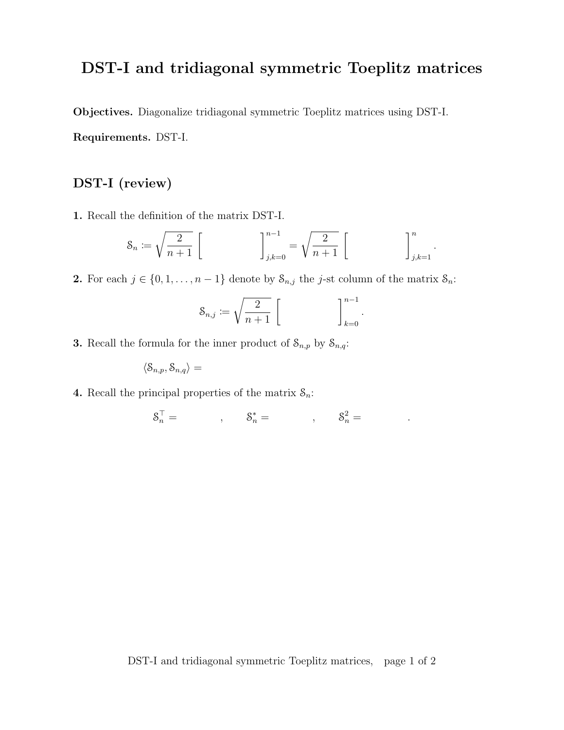## DST-I and tridiagonal symmetric Toeplitz matrices

Objectives. Diagonalize tridiagonal symmetric Toeplitz matrices using DST-I.

Requirements. DST-I.

## DST-I (review)

1. Recall the definition of the matrix DST-I.

$$
\mathcal{S}_n \coloneqq \sqrt{\frac{2}{n+1}} \begin{bmatrix} 0 & \cdots & 0 \end{bmatrix}_{j,k=0}^{n-1} = \sqrt{\frac{2}{n+1}} \begin{bmatrix} 0 & \cdots & 0 \end{bmatrix}_{j,k=1}^{n}.
$$

2. For each  $j \in \{0, 1, \ldots, n-1\}$  denote by  $S_{n,j}$  the j-st column of the matrix  $S_n$ :

$$
\mathcal{S}_{n,j} := \sqrt{\frac{2}{n+1}} \left[ \begin{array}{cc} 0 & \cdots & 0 \\ \vdots & \ddots & \vdots \\ 0 & \cdots & \vdots \\ 0 & \cdots & \cdots \end{array} \right]_{k=0}^{n-1}.
$$

**3.** Recall the formula for the inner product of  $S_{n,p}$  by  $S_{n,q}$ :

$$
\langle \mathcal{S}_{n,p}, \mathcal{S}_{n,q} \rangle =
$$

**4.** Recall the principal properties of the matrix  $S_n$ :

$$
\mathbf{S}_n^\top = \qquad , \qquad \mathbf{S}_n^* = \qquad , \qquad \mathbf{S}_n^2 = \qquad .
$$